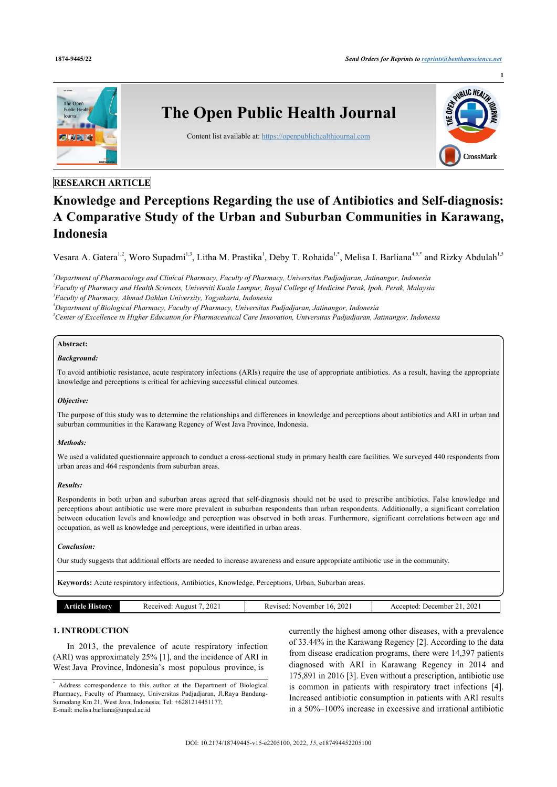

## **RESEARCH ARTICLE**

# **Knowledge and Perceptions Regarding the use of Antibiotics and Self-diagnosis: A Comparative Study of the Urban and Suburban Communities in Karawang, Indonesia**

Vesara A. Gatera<sup>[1,](#page-0-0)[2](#page-0-1)</sup>, Woro Supadmi<sup>[1](#page-0-0),[3](#page-0-2)</sup>, Litha M. Prastika<sup>1</sup>, Deby T. Rohaida<sup>1,[\\*](#page-0-3)</sup>, Melisa I. Barliana<sup>[4](#page-0-4)[,5](#page-0-5),\*</sup> and Rizky Abdulah<sup>1,[5](#page-0-5)</sup>

<span id="page-0-2"></span><span id="page-0-1"></span><span id="page-0-0"></span>*Department of Pharmacology and Clinical Pharmacy, Faculty of Pharmacy, Universitas Padjadjaran, Jatinangor, Indonesia Faculty of Pharmacy and Health Sciences, Universiti Kuala Lumpur, Royal College of Medicine Perak, Ipoh, Perak, Malaysia Faculty of Pharmacy, Ahmad Dahlan University, Yogyakarta, Indonesia Department of Biological Pharmacy, Faculty of Pharmacy, Universitas Padjadjaran, Jatinangor, Indonesia*

<span id="page-0-5"></span><span id="page-0-4"></span>*<sup>5</sup>Center of Excellence in Higher Education for Pharmaceutical Care Innovation, Universitas Padjadjaran, Jatinangor, Indonesia*

# **Abstract:**

#### *Background:*

To avoid antibiotic resistance, acute respiratory infections (ARIs) require the use of appropriate antibiotics. As a result, having the appropriate knowledge and perceptions is critical for achieving successful clinical outcomes.

#### *Objective:*

The purpose of this study was to determine the relationships and differences in knowledge and perceptions about antibiotics and ARI in urban and suburban communities in the Karawang Regency of West Java Province, Indonesia.

#### *Methods:*

We used a validated questionnaire approach to conduct a cross-sectional study in primary health care facilities. We surveyed 440 respondents from urban areas and 464 respondents from suburban areas.

#### *Results:*

Respondents in both urban and suburban areas agreed that self-diagnosis should not be used to prescribe antibiotics. False knowledge and perceptions about antibiotic use were more prevalent in suburban respondents than urban respondents. Additionally, a significant correlation between education levels and knowledge and perception was observed in both areas. Furthermore, significant correlations between age and occupation, as well as knowledge and perceptions, were identified in urban areas.

#### *Conclusion:*

Our study suggests that additional efforts are needed to increase awareness and ensure appropriate antibiotic use in the community.

**Keywords:** Acute respiratory infections, Antibiotics, Knowledge, Perceptions, Urban, Suburban areas.

| istorv | 202<br>Received:<br>Anonst | $\sim$<br>. November<br>Revised:<br>$\sqrt{2}$<br>202'<br>v | 202<br>Accepted:<br>December |
|--------|----------------------------|-------------------------------------------------------------|------------------------------|
|        |                            |                                                             |                              |

### **1. INTRODUCTION**

In 2013, the prevalence of acute respiratory infection (ARI) was approximately 25% [[1](#page-6-0)], and the incidence of ARI in West Java Province, Indonesia's most populous province, is

currently the highest among other diseases, with a prevalence of 33.44% in the Karawang Regency [\[2\]](#page-6-1). According to the data from disease eradication programs, there were 14,397 patients diagnosed with ARI in Karawang Regency in 2014 and 175,891 in 2016 [\[3\]](#page-6-2). Even without a prescription, antibiotic use is common in patients with respiratory tract infections[[4](#page-6-3)]. Increased antibiotic consumption in patients with ARI results in a 50%–100% increase in excessive and irrational antibiotic

<span id="page-0-3"></span><sup>\*</sup> Address correspondence to this author at the Department of Biological Pharmacy, Faculty of Pharmacy, Universitas Padjadjaran, Jl.Raya Bandung-Sumedang Km 21, West Java, Indonesia; Tel: +6281214451177; E-mail: [melisa.barliana@unpad.ac.id](mailto:melisa.barliana@unpad.ac.id)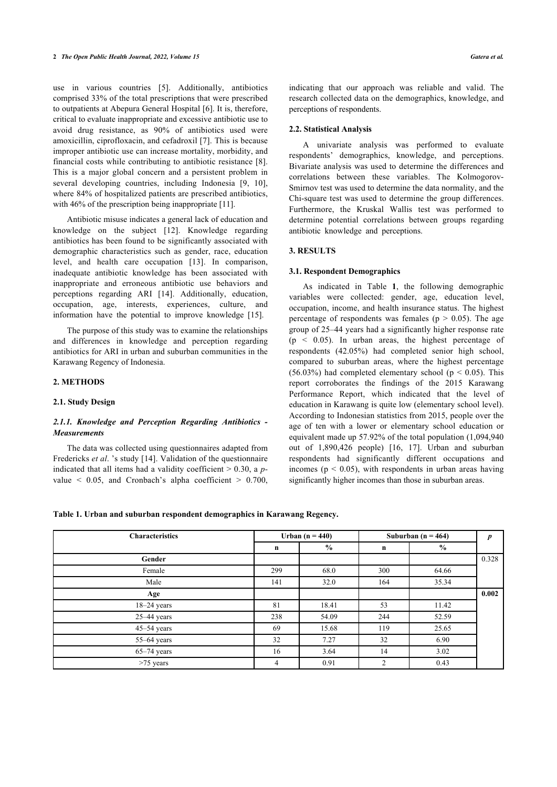use in various countries[[5](#page-6-4)]. Additionally, antibiotics comprised 33% of the total prescriptions that were prescribed to outpatients at Abepura General Hospital [[6](#page-6-5)]. It is, therefore, critical to evaluate inappropriate and excessive antibiotic use to avoid drug resistance, as 90% of antibiotics used were amoxicillin, ciprofloxacin, and cefadroxil [[7](#page-6-6)]. This is because improper antibiotic use can increase mortality, morbidity, and financial costs while contributing to antibiotic resistance [\[8\]](#page-6-7). This is a major global concern and a persistent problem in several developing countries, including Indonesia[[9](#page-6-8), [10\]](#page-6-9), where 84% of hospitalized patients are prescribed antibiotics, with 46% of the prescription being inappropriate [\[11](#page-6-10)].

Antibiotic misuse indicates a general lack of education and knowledge on the subject [\[12](#page-6-11)]. Knowledge regarding antibiotics has been found to be significantly associated with demographic characteristics such as gender, race, education level, and health care occupation [\[13\]](#page-6-12). In comparison, inadequate antibiotic knowledge has been associated with inappropriate and erroneous antibiotic use behaviors and perceptions regarding ARI[[14](#page-6-13)]. Additionally, education, occupation, age, interests, experiences, culture, and information have the potential to improve knowledge[[15\]](#page-6-14).

The purpose of this study was to examine the relationships and differences in knowledge and perception regarding antibiotics for ARI in urban and suburban communities in the Karawang Regency of Indonesia.

#### **2. METHODS**

#### **2.1. Study Design**

#### *2.1.1. Knowledge and Perception Regarding Antibiotics - Measurements*

The data was collected using questionnaires adapted from Fredericks *et al*. 's study [\[14](#page-6-13)]. Validation of the questionnaire indicated that all items had a validity coefficient > 0.30, a *p*value  $\leq$  0.05, and Cronbach's alpha coefficient  $\geq$  0.700,

indicating that our approach was reliable and valid. The research collected data on the demographics, knowledge, and perceptions of respondents.

#### **2.2. Statistical Analysis**

A univariate analysis was performed to evaluate respondents' demographics, knowledge, and perceptions. Bivariate analysis was used to determine the differences and correlations between these variables. The Kolmogorov-Smirnov test was used to determine the data normality, and the Chi-square test was used to determine the group differences. Furthermore, the Kruskal Wallis test was performed to determine potential correlations between groups regarding antibiotic knowledge and perceptions.

#### **3. RESULTS**

#### **3.1. Respondent Demographics**

As indicated in Table**1**, the following demographic variables were collected: gender, age, education level, occupation, income, and health insurance status. The highest percentage of respondents was females ( $p > 0.05$ ). The age group of 25–44 years had a significantly higher response rate  $(p < 0.05)$ . In urban areas, the highest percentage of respondents (42.05%) had completed senior high school, compared to suburban areas, where the highest percentage  $(56.03%)$  had completed elementary school ( $p < 0.05$ ). This report corroborates the findings of the 2015 Karawang Performance Report, which indicated that the level of education in Karawang is quite low (elementary school level). According to Indonesian statistics from 2015, people over the age of ten with a lower or elementary school education or equivalent made up 57.92% of the total population (1,094,940 out of 1,890,426 people) [\[16](#page-6-15), [17\]](#page-6-16). Urban and suburban respondents had significantly different occupations and incomes ( $p < 0.05$ ), with respondents in urban areas having significantly higher incomes than those in suburban areas.

#### <span id="page-1-0"></span>**Table 1. Urban and suburban respondent demographics in Karawang Regency.**

| <b>Characteristics</b> |             | Urban (n = $440$ ) |     | Suburban (n = $464$ ) |       |  |
|------------------------|-------------|--------------------|-----|-----------------------|-------|--|
|                        | $\mathbf n$ | $\frac{0}{0}$      | n   | $\frac{6}{6}$         |       |  |
| Gender                 |             |                    |     |                       | 0.328 |  |
| Female                 | 299         | 68.0               | 300 | 64.66                 |       |  |
| Male                   | 141         | 32.0               | 164 | 35.34                 |       |  |
| Age                    |             |                    |     |                       | 0.002 |  |
| $18 - 24$ years        | 81          | 18.41              | 53  | 11.42                 |       |  |
| $25-44$ years          | 238         | 54.09              | 244 | 52.59                 |       |  |
| $45 - 54$ years        | 69          | 15.68              | 119 | 25.65                 |       |  |
| 55-64 years            | 32          | 7.27               | 32  | 6.90                  |       |  |
| $65-74$ years          | 16          | 3.64               | 14  | 3.02                  |       |  |
| $>75$ years            | 4           | 0.91               | 2   | 0.43                  |       |  |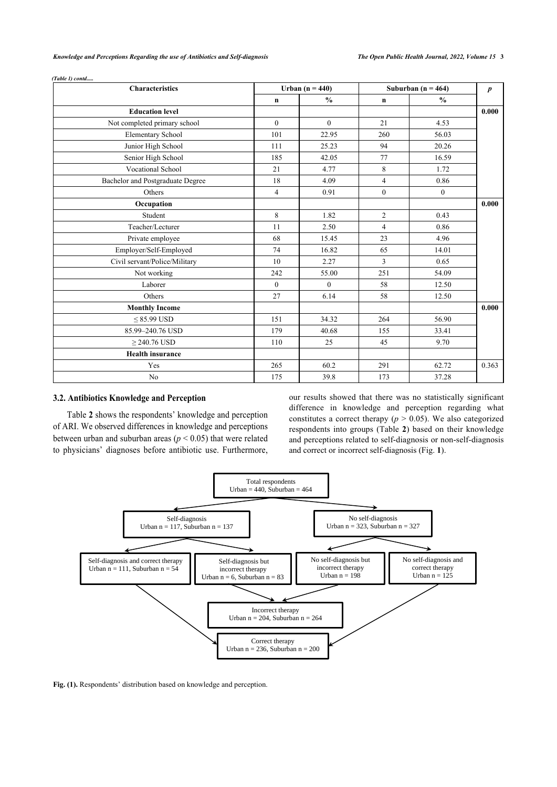| <b>Characteristics</b>           |                | Urban (n = $440$ ) |                | Suburban ( $n = 464$ ) |       |  |  |
|----------------------------------|----------------|--------------------|----------------|------------------------|-------|--|--|
|                                  | $\mathbf n$    | $\frac{0}{0}$      | $\mathbf n$    | $\frac{0}{0}$          |       |  |  |
| <b>Education level</b>           |                |                    |                |                        | 0.000 |  |  |
| Not completed primary school     | $\theta$       | $\theta$           | 21             | 4.53                   |       |  |  |
| <b>Elementary School</b>         | 101            | 22.95              | 260            | 56.03                  |       |  |  |
| Junior High School               | 111            | 25.23              | 94             | 20.26                  |       |  |  |
| Senior High School               | 185            | 42.05              | 77             | 16.59                  |       |  |  |
| Vocational School                | 21             | 4.77               | 8              | 1.72                   |       |  |  |
| Bachelor and Postgraduate Degree | 18             | 4.09               | $\overline{4}$ | 0.86                   |       |  |  |
| Others                           | $\overline{4}$ | 0.91               | $\mathbf{0}$   | $\mathbf{0}$           |       |  |  |
| Occupation                       |                |                    |                |                        | 0.000 |  |  |
| Student                          | 8              | 1.82               | $\overline{c}$ | 0.43                   |       |  |  |
| Teacher/Lecturer                 | 11             | 2.50               | $\overline{4}$ | 0.86                   |       |  |  |
| Private employee                 | 68             | 15.45              | 23             | 4.96                   |       |  |  |
| Employer/Self-Employed           | 74             | 16.82              | 65             | 14.01                  |       |  |  |
| Civil servant/Police/Military    | 10             | 2.27               | 3              | 0.65                   |       |  |  |
| Not working                      | 242            | 55.00              | 251            | 54.09                  |       |  |  |
| Laborer                          | $\mathbf{0}$   | $\theta$           | 58             | 12.50                  |       |  |  |
| Others                           | 27             | 6.14               | 58             | 12.50                  |       |  |  |
| <b>Monthly Income</b>            |                |                    |                |                        | 0.000 |  |  |
| $\leq$ 85.99 USD                 | 151            | 34.32              | 264            | 56.90                  |       |  |  |
| 85.99-240.76 USD                 | 179            | 40.68              | 155            | 33.41                  |       |  |  |
| $\geq$ 240.76 USD                | 110            | 25                 | 45             | 9.70                   |       |  |  |
| <b>Health insurance</b>          |                |                    |                |                        |       |  |  |
| Yes                              | 265            | 60.2               | 291            | 62.72                  | 0.363 |  |  |
| N <sub>0</sub>                   | 175            | 39.8               | 173            | 37.28                  |       |  |  |

*(Table 1) contd.....*

#### **3.2. Antibiotics Knowledge and Perception**

Table **[2](#page-3-0)** shows the respondents' knowledge and perception of ARI. We observed differences in knowledge and perceptions between urban and suburban areas (*p* < 0.05) that were related to physicians' diagnoses before antibiotic use. Furthermore, our results showed that there was no statistically significant difference in knowledge and perception regarding what constitutes a correct therapy ( $p > 0.05$ ). We also categorized respondents into groups (Table **[2](#page-3-0)**) based on their knowledge and perceptions related to self-diagnosis or non-self-diagnosis and correct or incorrect self-diagnosis (Fig. **[1](#page-2-0)**).

<span id="page-2-0"></span>

Fig. (1). Respondents' distribution based on knowledge and perception.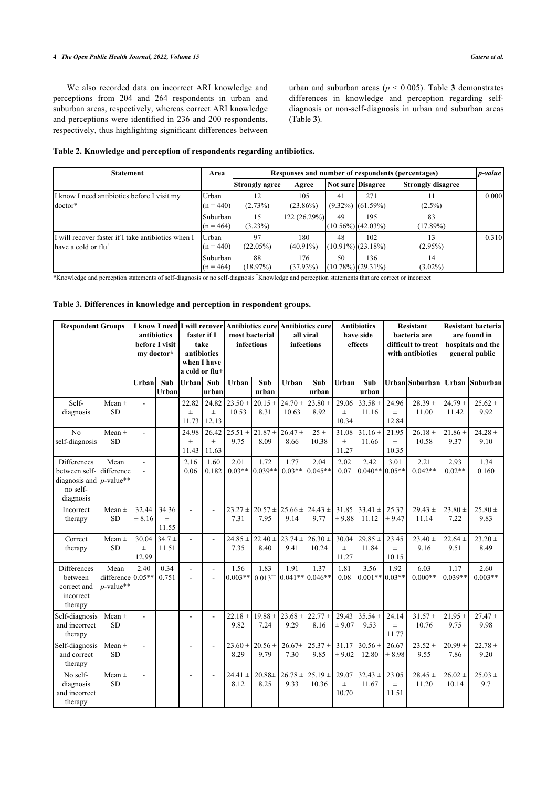#### **4** *The Open Public Health Journal, 2022, Volume 15 Gatera et al.*

We also recorded data on incorrect ARI knowledge and perceptions from 204 and 264 respondents in urban and suburban areas, respectively, whereas correct ARI knowledge and perceptions were identified in 236 and 200 respondents, respectively, thus highlighting significant differences between urban and suburban areas ( $p < 0.005$ ). Table **[3](#page-3-1)** demonstrates differences in knowledge and perception regarding selfdiagnosis or non-self-diagnosis in urban and suburban areas (Table **[3](#page-3-1)**).

#### <span id="page-3-0"></span>**Table 2. Knowledge and perception of respondents regarding antibiotics.**

| <b>Statement</b>                                                                       | Area                    | Responses and number of respondents (percentages) |                    |    |                                |                          |       |  |
|----------------------------------------------------------------------------------------|-------------------------|---------------------------------------------------|--------------------|----|--------------------------------|--------------------------|-------|--|
|                                                                                        |                         | <b>Strongly agree</b>                             | Agree              |    | Not sure Disagree              | <b>Strongly disagree</b> |       |  |
| I know I need antibiotics before I visit my<br>doctor*                                 | Urban<br>$(n = 440)$    | 12<br>(2.73%)                                     | 105<br>$(23.86\%)$ | 41 | 271<br>$(9.32\%)$ $(61.59\%)$  | $(2.5\%)$                | 0.000 |  |
|                                                                                        | Suburban<br>$(n = 464)$ | 15<br>$(3.23\%)$                                  | 122 (26.29%)       | 49 | 195<br>$(10.56\%)$ (42.03%)    | 83<br>$(17.89\%)$        |       |  |
| If will recover faster if I take antibiotics when I<br>have a cold or flu <sup>+</sup> | Urban<br>$(n = 440)$    | 97<br>(22.05%)                                    | 180<br>$(40.91\%)$ | 48 | 102<br>$(10.91\%)$ $(23.18\%)$ | $(2.95\%)$               | 0.310 |  |
|                                                                                        | Suburban<br>$(n = 464)$ | 88<br>(18.97%)                                    | 176<br>(37.93%)    | 50 | 136<br>$(10.78\%)$ $(29.31\%)$ | 14<br>$(3.02\%)$         |       |  |

\*Knowledge and perception statements of self-diagnosis or no self-diagnosis **<sup>+</sup>**Knowledge and perception statements that are correct or incorrect

#### <span id="page-3-1"></span>**Table 3. Differences in knowledge and perception in respondent groups.**

| <b>Respondent Groups</b>                                                                   |                                    | my doctor*                       | antibiotics<br>before I visit | I know I need I will recover<br>faster if I<br>take<br>antibiotics<br>when I have<br>a cold or flu+ |                          | Antibiotics cure Antibiotics cure<br>most bacterial<br>infections |                                         | all viral<br><b>infections</b>          |                      | <b>Antibiotics</b><br>have side<br>effects |                          | <b>Resistant</b><br>bacteria are<br>difficult to treat<br>with antibiotics |                      | <b>Resistant bacteria</b><br>are found in<br>hospitals and the<br>general public |                     |
|--------------------------------------------------------------------------------------------|------------------------------------|----------------------------------|-------------------------------|-----------------------------------------------------------------------------------------------------|--------------------------|-------------------------------------------------------------------|-----------------------------------------|-----------------------------------------|----------------------|--------------------------------------------|--------------------------|----------------------------------------------------------------------------|----------------------|----------------------------------------------------------------------------------|---------------------|
|                                                                                            |                                    | Urban                            | Sub<br>Urban                  | Urban                                                                                               | Sub<br>urban             | Urban                                                             | Sub<br>urban                            | Urban                                   | Sub<br>urban         | Urban                                      | Sub<br>urban             |                                                                            | Urban Suburban       |                                                                                  | Urban Suburban      |
| Self-<br>diagnosis                                                                         | Mean $\pm$<br><b>SD</b>            |                                  |                               | 22.82<br>$\pm$<br>11.73                                                                             | 24.82<br>$\pm$<br>12.13  | $23.50 +$<br>10.53                                                | 8.31                                    | $20.15 \pm 24.70 \pm$<br>10.63          | $23.80 \pm$<br>8.92  | 29.06<br>$\pm$<br>10.34                    | $33.58 \pm$<br>11.16     | 24.96<br>$\pm$<br>12.84                                                    | $28.39 +$<br>11.00   | $24.79 +$<br>11.42                                                               | $25.62 \pm$<br>9.92 |
| No<br>self-diagnosis                                                                       | Mean $\pm$<br>${\rm SD}$           | $\overline{a}$                   |                               | 24.98<br>$\pm$<br>11.43                                                                             | 26.42<br>$\pm$<br>11.63  | 9.75                                                              | $25.51 \pm 21.87 \pm 26.47 \pm$<br>8.09 | 8.66                                    | 25±<br>10.38         | 31.08<br>$\pm$<br>11.27                    | $31.16 \pm$<br>11.66     | 21.95<br><b>H</b><br>10.35                                                 | $26.18 \pm$<br>10.58 | $21.86 \pm$<br>9.37                                                              | $24.28 +$<br>9.10   |
| <b>Differences</b><br>between self-<br>diagnosis and $p$ -value**<br>no self-<br>diagnosis | Mean<br>difference                 | $\overline{a}$<br>$\overline{a}$ |                               | 2.16<br>0.06                                                                                        | 1.60<br>0.182            | 2.01<br>$0.03**$                                                  | 1.72<br>0.039**                         | 1.77<br>$0.03**$                        | 2.04<br>$0.045**$    | 2.02<br>0.07                               | 2.42<br>$0.040**10.05**$ | 3.01                                                                       | 2.21<br>$0.042**$    | 2.93<br>$0.02**$                                                                 | 1.34<br>0.160       |
| Incorrect<br>therapy                                                                       | Mean $\pm$<br><b>SD</b>            | 32.44<br>± 8.16                  | 34.36<br>$\pm$<br>11.55       | $\overline{a}$                                                                                      | ÷.                       | $23.27 \pm$<br>7.31                                               | 7.95                                    | $20.57 \pm 25.66 \pm 24.43 \pm$<br>9.14 | 9.77                 | 31.85<br>± 9.88                            | $33.41 \pm$<br>11.12     | 25.37<br>± 9.47                                                            | $29.43 \pm$<br>11.14 | $23.80 +$<br>7.22                                                                | $25.80 \pm$<br>9.83 |
| Correct<br>therapy                                                                         | Mean $\pm$<br><b>SD</b>            | 30.04<br>$\pm$<br>12.99          | $34.7 +$<br>11.51             | $\overline{a}$                                                                                      | L,                       | $24.85 \pm$<br>7.35                                               | $22.40 \pm$<br>8.40                     | $23.74 \pm$<br>9.41                     | $26.30 \pm$<br>10.24 | 30.04<br>$\pm$<br>11.27                    | $29.85 \pm$<br>11.84     | 23.45<br>$\pm$<br>10.15                                                    | $23.40 \pm$<br>9.16  | $22.64 \pm$<br>9.51                                                              | $23.20 \pm$<br>8.49 |
| Differences<br>between<br>correct and<br>incorrect<br>therapy                              | Mean<br>difference<br>$p$ -value** | 2.40<br>$0.05**$                 | 0.34<br>0.751                 | $\sim$                                                                                              | ÷<br>$\overline{a}$      | 1.56<br>$0.003**$                                                 | 1.83<br>$0.013^{+4}$                    | 1.91<br>$0.041**0.046**$                | 1.37                 | 1.81<br>0.08                               | 3.56<br>$0.001**$        | 1.92<br>$0.03**$                                                           | 6.03<br>$0.000**$    | 1.17<br>$0.039**$                                                                | 2.60<br>$0.003**$   |
| Self-diagnosis<br>and incorrect<br>therapy                                                 | Mean $\pm$<br><b>SD</b>            | $\overline{a}$                   |                               | $\overline{a}$                                                                                      |                          | $22.18 \pm$<br>9.82                                               | 7.24                                    | $19.88 \pm 23.68 \pm 22.77 \pm$<br>9.29 | 8.16                 | 29.43<br>$\pm 9.07$                        | $35.54 \pm$<br>9.53      | 24.14<br>$\pm$<br>11.77                                                    | $31.57 +$<br>10.76   | $21.95 \pm$<br>9.75                                                              | $27.47 +$<br>9.98   |
| Self-diagnosis<br>and correct<br>therapy                                                   | Mean $\pm$<br><b>SD</b>            | $\overline{a}$                   |                               |                                                                                                     |                          | 8.29                                                              | $23.60 \pm 20.56 \pm$<br>9.79           | $26.67+$<br>7.30                        | $25.37 +$<br>9.85    | 31.17<br>± 9.02                            | $30.56 \pm$<br>12.80     | 26.67<br>± 8.98                                                            | $23.52 +$<br>9.55    | $20.99 +$<br>7.86                                                                | $22.78 \pm$<br>9.20 |
| No self-<br>diagnosis<br>and incorrect<br>therapy                                          | Mean $\pm$<br>SD                   | $\overline{a}$                   |                               | $\blacksquare$                                                                                      | $\overline{\phantom{a}}$ | $24.41 \pm$<br>8.12                                               | $20.88 \pm$<br>8.25                     | $26.78 \pm$<br>9.33                     | $25.19 \pm$<br>10.36 | 29.07<br>$\pm$<br>10.70                    | $32.43 \pm$<br>11.67     | 23.05<br>$\pm$<br>11.51                                                    | $28.45 \pm$<br>11.20 | $26.02 \pm$<br>10.14                                                             | $25.03 \pm$<br>9.7  |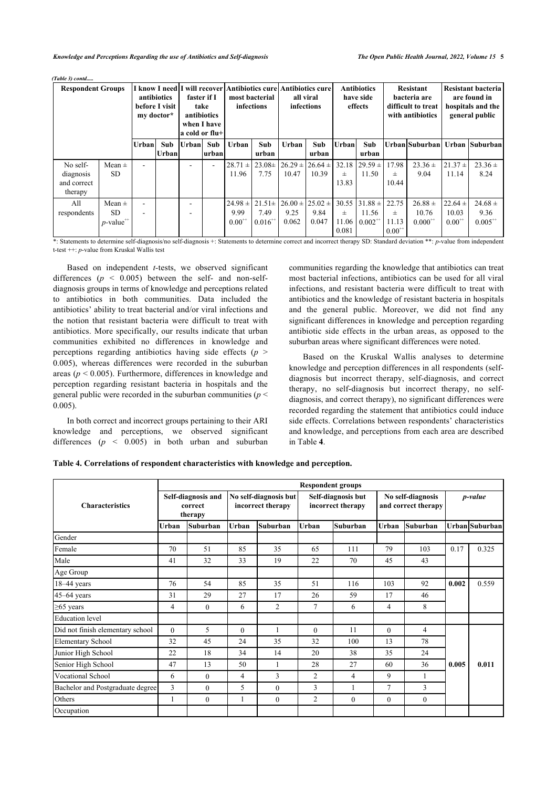*Knowledge and Perceptions Regarding the use of Antibiotics and Self-diagnosis The Open Public Health Journal, 2022, Volume 15* **5**

| <b>Respondent Groups</b>                        |                                               |        | antibiotics<br>before I visit<br>my doctor* | a cold or flu+ | faster if I<br>take<br>antibiotics<br>when I have | I know I need I will recover Antibiotics cure Antibiotics cure | most bacterial<br>infections        |                                         | all viral<br>infections |                              | <b>Antibiotics</b><br>have side<br>effects |                              | <b>Resistant</b><br>bacteria are<br>difficult to treat<br>with antibiotics |                                     | Resistant bacteria<br>are found in<br>hospitals and the<br>general public |
|-------------------------------------------------|-----------------------------------------------|--------|---------------------------------------------|----------------|---------------------------------------------------|----------------------------------------------------------------|-------------------------------------|-----------------------------------------|-------------------------|------------------------------|--------------------------------------------|------------------------------|----------------------------------------------------------------------------|-------------------------------------|---------------------------------------------------------------------------|
|                                                 |                                               | Urbanl | Sub<br>Urbanl                               | Urbanl Sub     | lurbanl                                           | Urban                                                          | Sub<br>urban                        | Urban                                   | Sub<br>urban            | Urban                        | Sub<br>urban                               |                              |                                                                            |                                     | Urban Suburban  Urban  Suburban                                           |
| No self-<br>diagnosis<br>and correct<br>therapy | Mean $\pm$<br>SD.                             | ٠      |                                             |                |                                                   | $28.71 \pm$<br>11.96                                           | $23.08\pm$<br>7.75                  | $26.29 \pm 26.64 \pm$<br>10.47          | 10.39                   | 士<br>13.83                   | $32.18$ $ 29.59 \pm $<br>11.50             | 17.98<br>$_{\pm}$<br>10.44   | $23.36 \pm$<br>9.04                                                        | $21.37 \pm$<br>11.14                | $23.36 \pm$<br>8.24                                                       |
| All<br>respondents                              | Mean $\pm$<br>SD.<br>$v$ -value $^{\!+}$ $\!$ | ۰      |                                             |                |                                                   | $24.98 \pm 1$<br>9.99<br>$0.00^{+1}$                           | $21.51 \pm$<br>7.49<br>$0.016^{++}$ | $126.00 \pm 25.02 \pm$<br>9.25<br>0.062 | 9.84<br>0.047           | 30.55<br>士<br>11.06<br>0.081 | $31.88 \pm 22.75$<br>11.56<br>$0.002^{++}$ | $\pm$<br>11.13<br>$0.00^{+}$ | $26.88 \pm$<br>10.76<br>$0.000^{+1}$                                       | $22.64 \pm$<br>10.03<br>$0.00^{++}$ | $24.68 \pm$<br>9.36<br>$0.005^{+1}$                                       |

*(Table 3) contd.....*

\*: Statements to determine self-diagnosis/no self-diagnosis +: Statements to determine correct and incorrect therapy SD: Standard deviation \*\*: *p*-value from independent t-test ++: *p*-value from Kruskal Wallis test

Based on independent *t-*tests, we observed significant differences  $(p \lt 0.005)$  between the self- and non-selfdiagnosis groups in terms of knowledge and perceptions related to antibiotics in both communities. Data included the antibiotics' ability to treat bacterial and/or viral infections and the notion that resistant bacteria were difficult to treat with antibiotics. More specifically, our results indicate that urban communities exhibited no differences in knowledge and perceptions regarding antibiotics having side effects  $(p \geq$ 0.005), whereas differences were recorded in the suburban areas (*p* < 0.005). Furthermore, differences in knowledge and perception regarding resistant bacteria in hospitals and the general public were recorded in the suburban communities (*p* < 0.005).

In both correct and incorrect groups pertaining to their ARI knowledge and perceptions, we observed significant differences  $(p \lt 0.005)$  in both urban and suburban communities regarding the knowledge that antibiotics can treat most bacterial infections, antibiotics can be used for all viral infections, and resistant bacteria were difficult to treat with antibiotics and the knowledge of resistant bacteria in hospitals and the general public. Moreover, we did not find any significant differences in knowledge and perception regarding antibiotic side effects in the urban areas, as opposed to the suburban areas where significant differences were noted.

Based on the Kruskal Wallis analyses to determine knowledge and perception differences in all respondents (selfdiagnosis but incorrect therapy, self-diagnosis, and correct therapy, no self-diagnosis but incorrect therapy, no selfdiagnosis, and correct therapy), no significant differences were recorded regarding the statement that antibiotics could induce side effects. Correlations between respondents' characteristics and knowledge, and perceptions from each area are described in Table **[4](#page-4-0)**.

<span id="page-4-0"></span>**Table 4. Correlations of respondent characteristics with knowledge and perception.**

|                                  |                                          |              |                                            |                |                | <b>Respondent groups</b>                |                |                                          |         |                |
|----------------------------------|------------------------------------------|--------------|--------------------------------------------|----------------|----------------|-----------------------------------------|----------------|------------------------------------------|---------|----------------|
| <b>Characteristics</b>           | Self-diagnosis and<br>correct<br>therapy |              | No self-diagnosis but<br>incorrect therapy |                |                | Self-diagnosis but<br>incorrect therapy |                | No self-diagnosis<br>and correct therapy | p-value |                |
|                                  | Urban                                    | Suburban     | Urban                                      | Suburban       | <b>Urban</b>   | Suburban                                | Urban          | Suburban                                 |         | Urban Suburban |
| Gender                           |                                          |              |                                            |                |                |                                         |                |                                          |         |                |
| Female                           | 70                                       | 51           | 85                                         | 35             | 65             | 111                                     | 79             | 103                                      | 0.17    | 0.325          |
| Male                             | 41                                       | 32           | 33                                         | 19             | 22             | 70                                      | 45             | 43                                       |         |                |
| Age Group                        |                                          |              |                                            |                |                |                                         |                |                                          |         |                |
| $18-44$ years                    | 76                                       | 54           | 85                                         | 35             | 51             | 116                                     | 103            | 92                                       | 0.002   | 0.559          |
| $45-64$ years                    | 31                                       | 29           | 27                                         | 17             | 26             | 59                                      | 17             | 46                                       |         |                |
| $\geq 65$ years                  | 4                                        | $\theta$     | 6                                          | $\overline{2}$ | 7              | 6                                       | 4              | 8                                        |         |                |
| <b>Education</b> level           |                                          |              |                                            |                |                |                                         |                |                                          |         |                |
| Did not finish elementary school | $\theta$                                 | 5            | $\theta$                                   | 1              | $\Omega$       | 11                                      | $\theta$       | 4                                        |         |                |
| <b>Elementary School</b>         | 32                                       | 45           | 24                                         | 35             | 32             | 100                                     | 13             | 78                                       |         |                |
| Junior High School               | 22                                       | 18           | 34                                         | 14             | 20             | 38                                      | 35             | 24                                       |         |                |
| Senior High School               | 47                                       | 13           | 50                                         | 1              | 28             | 27                                      | 60             | 36                                       | 0.005   | 0.011          |
| Vocational School                | 6                                        | $\theta$     | 4                                          | 3              | $\overline{2}$ | 4                                       | 9              |                                          |         |                |
| Bachelor and Postgraduate degree | 3                                        | $\theta$     | 5                                          | $\theta$       | 3              | 1                                       | $\overline{7}$ | 3                                        |         |                |
| Others                           | 1                                        | $\mathbf{0}$ | 1                                          | $\overline{0}$ | $\overline{2}$ | $\mathbf{0}$                            | $\mathbf{0}$   | $\mathbf{0}$                             |         |                |
| Occupation                       |                                          |              |                                            |                |                |                                         |                |                                          |         |                |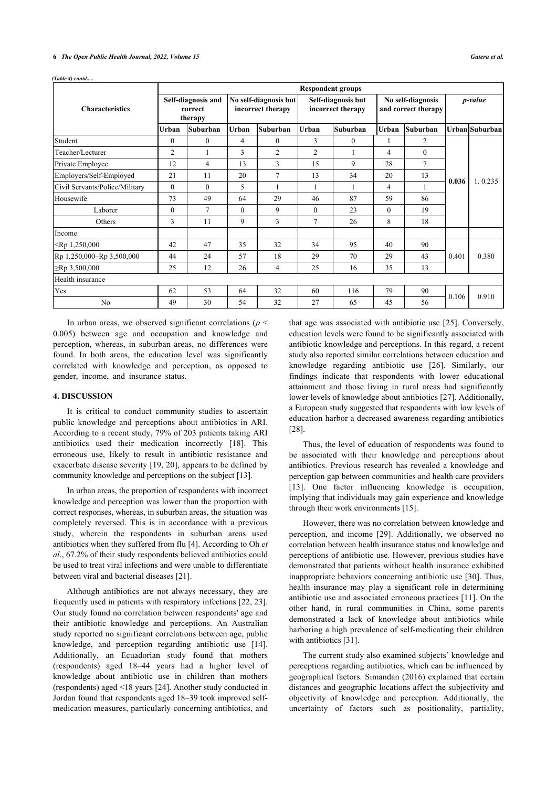*(Table 4) contd.....*

|                                |          |                                          |          |                                            | <b>Respondent groups</b> |                                         |          |                                          |         |                |
|--------------------------------|----------|------------------------------------------|----------|--------------------------------------------|--------------------------|-----------------------------------------|----------|------------------------------------------|---------|----------------|
| <b>Characteristics</b>         |          | Self-diagnosis and<br>correct<br>therapy |          | No self-diagnosis but<br>incorrect therapy |                          | Self-diagnosis but<br>incorrect therapy |          | No self-diagnosis<br>and correct therapy | p-value |                |
|                                | Urban    | Suburban                                 | Urban    | Suburban                                   | <b>Urban</b>             | Suburban                                | Urban    | <b>Suburban</b>                          |         | Urban Suburban |
| Student                        | $\Omega$ | $\mathbf{0}$                             | 4        | $\mathbf{0}$                               | 3                        | $\mathbf{0}$                            |          | 2                                        |         |                |
| Teacher/Lecturer               | 2        |                                          | 3        | 2                                          | $\overline{c}$           |                                         | 4        | $\mathbf{0}$                             |         |                |
| Private Employee               | 12       | $\overline{4}$                           | 13       | 3                                          | 15                       | 9                                       | 28       | $\tau$                                   |         | 1.0.235        |
| Employers/Self-Employed        | 21       | 11                                       | 20       | 7                                          | 13                       | 34                                      | 20       | 13                                       | 0.036   |                |
| Civil Servants/Police/Military | $\theta$ | $\Omega$                                 | 5        |                                            |                          |                                         | 4        | 1                                        |         |                |
| Housewife                      | 73       | 49                                       | 64       | 29                                         | 46                       | 87                                      | 59       | 86                                       |         |                |
| Laborer                        | $\theta$ | $\tau$                                   | $\theta$ | 9                                          | $\mathbf{0}$             | 23                                      | $\theta$ | 19                                       |         |                |
| Others                         | 3        | 11                                       | 9        | 3                                          | 7                        | 26                                      | 8        | 18                                       |         |                |
| Income                         |          |                                          |          |                                            |                          |                                         |          |                                          |         |                |
| $\le Rp 1,250,000$             | 42       | 47                                       | 35       | 32                                         | 34                       | 95                                      | 40       | 90                                       |         |                |
| Rp 1,250,000-Rp 3,500,000      | 44       | 24                                       | 57       | 18                                         | 29                       | 70                                      | 29       | 43                                       | 0.401   | 0.380          |
| $\ge$ Rp 3,500,000             | 25       | 12                                       | 26       | 4                                          | 25                       | 16                                      | 35       | 13                                       |         |                |
| Health insurance               |          |                                          |          |                                            |                          |                                         |          |                                          |         |                |
| Yes                            | 62       | 53                                       | 64       | 32                                         | 60                       | 116                                     | 79       | 90                                       | 0.106   |                |
| N <sub>o</sub>                 | 49       | 30                                       | 54       | 32                                         | 27                       | 65                                      | 45       | 56                                       |         | 0.910          |

In urban areas, we observed significant correlations ( $p \leq$ 0.005) between age and occupation and knowledge and perception, whereas, in suburban areas, no differences were found. In both areas, the education level was significantly correlated with knowledge and perception, as opposed to gender, income, and insurance status.

#### **4. DISCUSSION**

It is critical to conduct community studies to ascertain public knowledge and perceptions about antibiotics in ARI. According to a recent study, 79% of 203 patients taking ARI antibiotics used their medication incorrectly [\[18\]](#page-6-17). This erroneous use, likely to result in antibiotic resistance and exacerbate disease severity [\[19](#page-6-18), [20\]](#page-6-19), appears to be defined by community knowledge and perceptions on the subject [[13\]](#page-6-12).

In urban areas, the proportion of respondents with incorrect knowledge and perception was lower than the proportion with correct responses, whereas, in suburban areas, the situation was completely reversed. This is in accordance with a previous study, wherein the respondents in suburban areas used antibiotics when they suffered from flu [\[4\]](#page-6-3). According to Oh *et al*., 67.2% of their study respondents believed antibiotics could be used to treat viral infections and were unable to differentiate between viral and bacterial diseases [[21\]](#page-7-0).

Although antibiotics are not always necessary, they are frequently used in patients with respiratory infections [\[22](#page-7-1), [23](#page-7-2)]. Our study found no correlation between respondents' age and their antibiotic knowledge and perceptions. An Australian study reported no significant correlations between age, public knowledge, and perception regarding antibiotic use[[14\]](#page-6-13). Additionally, an Ecuadorian study found that mothers (respondents) aged 18–44 years had a higher level of knowledge about antibiotic use in children than mothers (respondents) aged <18 years [[24\]](#page-7-3). Another study conducted in Jordan found that respondents aged 18–39 took improved selfmedication measures, particularly concerning antibiotics, and

that age was associated with antibiotic use [[25\]](#page-7-4). Conversely, education levels were found to be significantly associated with antibiotic knowledge and perceptions. In this regard, a recent study also reported similar correlations between education and knowledge regarding antibiotic use[[26\]](#page-7-5). Similarly, our findings indicate that respondents with lower educational attainment and those living in rural areas had significantly lower levels of knowledge about antibiotics [[27\]](#page-7-6). Additionally, a European study suggested that respondents with low levels of education harbor a decreased awareness regarding antibiotics [[28\]](#page-7-7).

Thus, the level of education of respondents was found to be associated with their knowledge and perceptions about antibiotics. Previous research has revealed a knowledge and perception gap between communities and health care providers [[13](#page-6-12)]. One factor influencing knowledge is occupation, implying that individuals may gain experience and knowledge through their work environments [[15\]](#page-6-14).

However, there was no correlation between knowledge and perception, and income[[29](#page-7-8)]. Additionally, we observed no correlation between health insurance status and knowledge and perceptions of antibiotic use. However, previous studies have demonstrated that patients without health insurance exhibited inappropriate behaviors concerning antibiotic use [\[30\]](#page-7-2). Thus, health insurance may play a significant role in determining antibiotic use and associated erroneous practices [\[11](#page-6-10)]. On the other hand, in rural communities in China, some parents demonstrated a lack of knowledge about antibiotics while harboring a high prevalence of self-medicating their children with antibiotics [[31\]](#page-7-4).

The current study also examined subjects' knowledge and perceptions regarding antibiotics, which can be influenced by geographical factors. Simandan (2016) explained that certain distances and geographic locations affect the subjectivity and objectivity of knowledge and perception. Additionally, the uncertainty of factors such as positionality, partiality,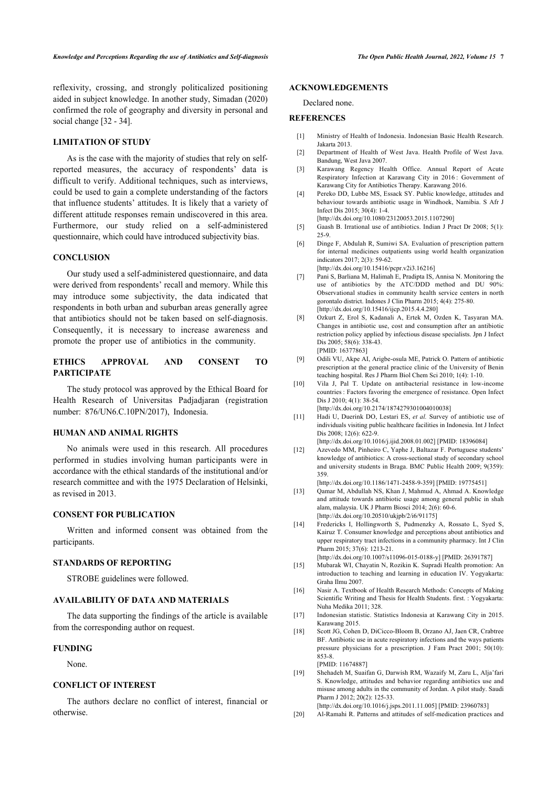reflexivity, crossing, and strongly politicalized positioning aided in subject knowledge. In another study, Simadan (2020) confirmed the role of geography and diversity in personal and social change [[32](#page-7-9) - [34](#page-7-10)].

#### <span id="page-6-0"></span>**LIMITATION OF STUDY**

<span id="page-6-3"></span><span id="page-6-2"></span><span id="page-6-1"></span>As is the case with the majority of studies that rely on selfreported measures, the accuracy of respondents' data is difficult to verify. Additional techniques, such as interviews, could be used to gain a complete understanding of the factors that influence students' attitudes. It is likely that a variety of different attitude responses remain undiscovered in this area. Furthermore, our study relied on a self-administered questionnaire, which could have introduced subjectivity bias.

#### <span id="page-6-5"></span><span id="page-6-4"></span>**CONCLUSION**

<span id="page-6-6"></span>Our study used a self-administered questionnaire, and data were derived from respondents' recall and memory. While this may introduce some subjectivity, the data indicated that respondents in both urban and suburban areas generally agree that antibiotics should not be taken based on self-diagnosis. Consequently, it is necessary to increase awareness and promote the proper use of antibiotics in the community.

### <span id="page-6-8"></span><span id="page-6-7"></span>**ETHICS APPROVAL AND CONSENT TO PARTICIPATE**

<span id="page-6-9"></span>The study protocol was approved by the Ethical Board for Health Research of Universitas Padjadjaran (registration number: 876/UN6.C.10PN/2017), Indonesia.

#### <span id="page-6-10"></span>**HUMAN AND ANIMAL RIGHTS**

<span id="page-6-11"></span>No animals were used in this research. All procedures performed in studies involving human participants were in accordance with the ethical standards of the institutional and/or research committee and with the 1975 Declaration of Helsinki, as revised in 2013.

#### <span id="page-6-12"></span>**CONSENT FOR PUBLICATION**

<span id="page-6-13"></span>Written and informed consent was obtained from the participants.

#### <span id="page-6-14"></span>**STANDARDS OF REPORTING**

STROBE guidelines were followed.

#### <span id="page-6-15"></span>**AVAILABILITY OF DATA AND MATERIALS**

<span id="page-6-17"></span><span id="page-6-16"></span>The data supporting the findings of the article is available from the corresponding author on request.

#### **FUNDING**

None.

### <span id="page-6-18"></span>**CONFLICT OF INTEREST**

<span id="page-6-19"></span>The authors declare no conflict of interest, financial or otherwise.

#### **ACKNOWLEDGEMENTS**

Declared none.

#### **REFERENCES**

- [1] Ministry of Health of Indonesia. Indonesian Basic Health Research. Jakarta 2013.
- [2] Department of Health of West Java. Health Profile of West Java. Bandung, West Java 2007.
- [3] Karawang Regency Health Office. Annual Report of Acute Respiratory Infection at Karawang City in 2016 : Government of Karawang City for Antibiotics Therapy. Karawang 2016.
- [4] Pereko DD, Lubbe MS, Essack SY. Public knowledge, attitudes and behaviour towards antibiotic usage in Windhoek, Namibia. S Afr J Infect Dis 2015; 30(4): 1-4.
- [\[http://dx.doi.org/10.1080/23120053.2015.1107290](http://dx.doi.org/10.1080/23120053.2015.1107290)]
- [5] Gaash B. Irrational use of antibiotics. Indian J Pract Dr 2008; 5(1): 25-9.
- [6] Dinge F, Abdulah R, Sumiwi SA. Evaluation of prescription pattern for internal medicines outpatients using world health organization indicators 2017; 2(3): 59-62. [\[http://dx.doi.org/10.15416/pcpr.v2i3.16216\]](http://dx.doi.org/10.15416/pcpr.v2i3.16216)
	-
- [7] Pani S, Barliana M, Halimah E, Pradipta IS, Annisa N. Monitoring the use of antibiotics by the ATC/DDD method and DU 90%: Observational studies in community health service centers in north gorontalo district. Indones J Clin Pharm 2015; 4(4): 275-80. [\[http://dx.doi.org/10.15416/ijcp.2015.4.4.280\]](http://dx.doi.org/10.15416/ijcp.2015.4.4.280)
- [8] Ozkurt Z, Erol S, Kadanali A, Ertek M, Ozden K, Tasyaran MA. Changes in antibiotic use, cost and consumption after an antibiotic restriction policy applied by infectious disease specialists. Jpn J Infect Dis 2005; 58(6): 338-43. [PMID: [16377863\]](http://www.ncbi.nlm.nih.gov/pubmed/16377863)
- [9] Odili VU, Akpe AI, Arigbe-osula ME, Patrick O. Pattern of antibiotic prescription at the general practice clinic of the University of Benin teaching hospital. Res J Pharm Biol Chem Sci 2010; 1(4): 1-10.
- [10] Vila J, Pal T. Update on antibacterial resistance in low-income countries : Factors favoring the emergence of resistance. Open Infect Dis J 2010; 4(1): 38-54. [\[http://dx.doi.org/10.2174/1874279301004010038\]](http://dx.doi.org/10.2174/1874279301004010038)
- [11] Hadi U, Duerink DO, Lestari ES, *et al.* Survey of antibiotic use of individuals visiting public healthcare facilities in Indonesia. Int J Infect Dis 2008; 12(6): 622-9. [\[http://dx.doi.org/10.1016/j.ijid.2008.01.002](http://dx.doi.org/10.1016/j.ijid.2008.01.002)] [PMID: [18396084\]](http://www.ncbi.nlm.nih.gov/pubmed/18396084)
- [12] Azevedo MM, Pinheiro C, Yaphe J, Baltazar F. Portuguese students' knowledge of antibiotics: A cross-sectional study of secondary school and university students in Braga. BMC Public Health 2009; 9(359): 359.

[\[http://dx.doi.org/10.1186/1471-2458-9-359](http://dx.doi.org/10.1186/1471-2458-9-359)] [PMID: [19775451](http://www.ncbi.nlm.nih.gov/pubmed/19775451)]

- [13] Qamar M, Abdullah NS, Khan J, Mahmud A, Ahmad A. Knowledge and attitude towards antibiotic usage among general public in shah alam, malaysia. UK J Pharm Biosci 2014; 2(6): 60-6. [\[http://dx.doi.org/10.20510/ukjpb/2/i6/91175](http://dx.doi.org/10.20510/ukjpb/2/i6/91175)]
- [14] Fredericks I, Hollingworth S, Pudmenzky A, Rossato L, Syed S, Kairuz T. Consumer knowledge and perceptions about antibiotics and upper respiratory tract infections in a community pharmacy. Int J Clin Pharm 2015; 37(6): 1213-21. [\[http://dx.doi.org/10.1007/s11096-015-0188-y\]](http://dx.doi.org/10.1007/s11096-015-0188-y) [PMID: [26391787](http://www.ncbi.nlm.nih.gov/pubmed/26391787)]

[15] Mubarak WI, Chayatin N, Rozikin K. Supradi Health promotion: An

- introduction to teaching and learning in education IV. Yogyakarta: Graha Ilmu 2007.
- [16] Nasir A. Textbook of Health Research Methods: Concepts of Making Scientific Writing and Thesis for Health Students. first. : Yogyakarta: Nuha Medika 2011; 328.
- [17] Indonesian statistic. Statistics Indonesia at Karawang City in 2015. Karawang 2015.
- [18] Scott JG, Cohen D, DiCicco-Bloom B, Orzano AJ, Jaen CR, Crabtree BF. Antibiotic use in acute respiratory infections and the ways patients pressure physicians for a prescription. J Fam Pract 2001; 50(10): 853-8. [PMID: [11674887\]](http://www.ncbi.nlm.nih.gov/pubmed/11674887)
- [19] Shehadeh M, Suaifan G, Darwish RM, Wazaify M, Zaru L, Alja'fari S. Knowledge, attitudes and behavior regarding antibiotics use and misuse among adults in the community of Jordan. A pilot study. Saudi Pharm J 2012; 20(2): 125-33.
- [\[http://dx.doi.org/10.1016/j.jsps.2011.11.005\]](http://dx.doi.org/10.1016/j.jsps.2011.11.005) [PMID: [23960783](http://www.ncbi.nlm.nih.gov/pubmed/23960783)]
- [20] Al-Ramahi R. Patterns and attitudes of self-medication practices and